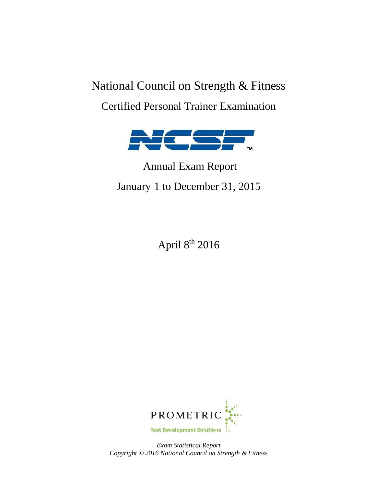# National Council on Strength & Fitness Certified Personal Trainer Examination



# Annual Exam Report January 1 to December 31, 2015

April  $8^{th}$  2016



*Exam Statistical Report Copyright © 2016 National Council on Strength & Fitness*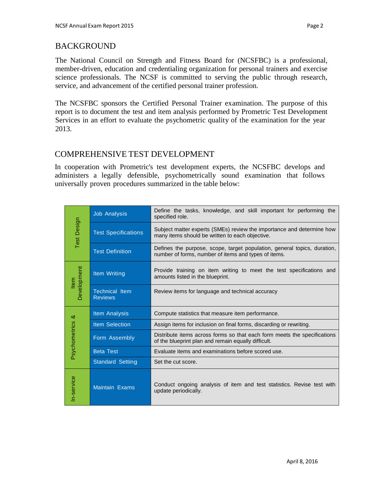# BACKGROUND

The National Council on Strength and Fitness Board for (NCSFBC) is a professional, member-driven, education and credentialing organization for personal trainers and exercise science professionals. The NCSF is committed to serving the public through research, service, and advancement of the certified personal trainer profession.

The NCSFBC sponsors the Certified Personal Trainer examination. The purpose of this report is to document the test and item analysis performed by Prometric Test Development Services in an effort to evaluate the psychometric quality of the examination for the year 2013.

# COMPREHENSIVE TEST DEVELOPMENT

In cooperation with Prometric's test development experts, the NCSFBC develops and administers a legally defensible, psychometrically sound examination that follows universally proven procedures summarized in the table below:

| <b>Test Design</b>         | <b>Job Analysis</b>                     | Define the tasks, knowledge, and skill important for performing the<br>specified role.                                           |  |  |  |  |
|----------------------------|-----------------------------------------|----------------------------------------------------------------------------------------------------------------------------------|--|--|--|--|
|                            | <b>Test Specifications</b>              | Subject matter experts (SMEs) review the importance and determine how<br>many items should be written to each objective.         |  |  |  |  |
|                            | <b>Test Definition</b>                  | Defines the purpose, scope, target population, general topics, duration,<br>number of forms, number of items and types of items. |  |  |  |  |
| <b>Development</b><br>Item | Item Writing                            | Provide training on item writing to meet the test specifications and<br>amounts listed in the blueprint.                         |  |  |  |  |
|                            | <b>Technical Item</b><br><b>Reviews</b> | Review items for language and technical accuracy                                                                                 |  |  |  |  |
| ళ<br>Psychometrics         | Item Analysis                           | Compute statistics that measure item performance.                                                                                |  |  |  |  |
|                            | <b>Item Selection</b>                   | Assign items for inclusion on final forms, discarding or rewriting.                                                              |  |  |  |  |
|                            | Form Assembly                           | Distribute items across forms so that each form meets the specifications<br>of the blueprint plan and remain equally difficult.  |  |  |  |  |
|                            | <b>Beta Test</b>                        | Evaluate items and examinations before scored use.                                                                               |  |  |  |  |
|                            | <b>Standard Setting</b>                 | Set the cut score.                                                                                                               |  |  |  |  |
| In-service                 | Maintain Exams                          | Conduct ongoing analysis of item and test statistics. Revise test with<br>update periodically.                                   |  |  |  |  |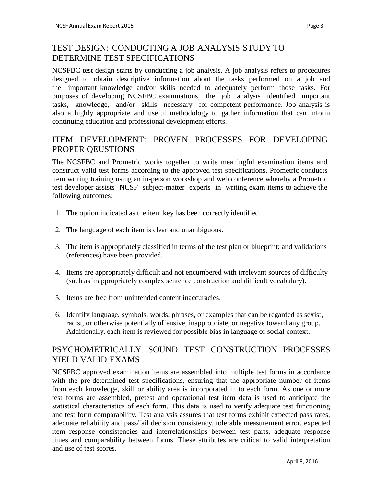# TEST DESIGN: CONDUCTING A JOB ANALYSIS STUDY TO DETERMINE TEST SPECIFICATIONS

NCSFBC test design starts by conducting a job analysis. A job analysis refers to procedures designed to obtain descriptive information about the tasks performed on a job and the important knowledge and/or skills needed to adequately perform those tasks. For purposes of developing NCSFBC examinations, the job analysis identified important tasks, knowledge, and/or skills necessary for competent performance. Job analysis is also a highly appropriate and useful methodology to gather information that can inform continuing education and professional development efforts.

### ITEM DEVELOPMENT: PROVEN PROCESSES FOR DEVELOPING PROPER QEUSTIONS

The NCSFBC and Prometric works together to write meaningful examination items and construct valid test forms according to the approved test specifications. Prometric conducts item writing training using an in-person workshop and web conference whereby a Prometric test developer assists NCSF subject-matter experts in writing exam items to achieve the following outcomes:

- 1. The option indicated as the item key has been correctly identified.
- 2. The language of each item is clear and unambiguous.
- 3. The item is appropriately classified in terms of the test plan or blueprint; and validations (references) have been provided.
- 4. Items are appropriately difficult and not encumbered with irrelevant sources of difficulty (such as inappropriately complex sentence construction and difficult vocabulary).
- 5. Items are free from unintended content inaccuracies.
- 6. Identify language, symbols, words, phrases, or examples that can be regarded as sexist, racist, or otherwise potentially offensive, inappropriate, or negative toward any group. Additionally, each item is reviewed for possible bias in language or social context.

# PSYCHOMETRICALLY SOUND TEST CONSTRUCTION PROCESSES YIELD VALID EXAMS

NCSFBC approved examination items are assembled into multiple test forms in accordance with the pre-determined test specifications, ensuring that the appropriate number of items from each knowledge, skill or ability area is incorporated in to each form. As one or more test forms are assembled, pretest and operational test item data is used to anticipate the statistical characteristics of each form. This data is used to verify adequate test functioning and test form comparability. Test analysis assures that test forms exhibit expected pass rates, adequate reliability and pass/fail decision consistency, tolerable measurement error, expected item response consistencies and interrelationships between test parts, adequate response times and comparability between forms. These attributes are critical to valid interpretation and use of test scores.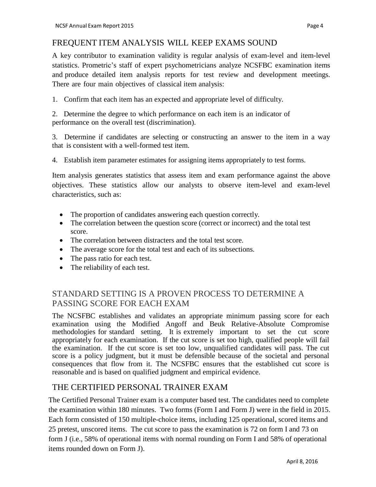#### FREQUENT ITEM ANALYSIS WILL KEEP EXAMS SOUND

A key contributor to examination validity is regular analysis of exam-level and item-level statistics. Prometric's staff of expert psychometricians analyze NCSFBC examination items and produce detailed item analysis reports for test review and development meetings. There are four main objectives of classical item analysis:

1. Confirm that each item has an expected and appropriate level of difficulty.

2. Determine the degree to which performance on each item is an indicator of performance on the overall test (discrimination).

3. Determine if candidates are selecting or constructing an answer to the item in a way that is consistent with a well-formed test item.

4. Establish item parameter estimates for assigning items appropriately to test forms.

Item analysis generates statistics that assess item and exam performance against the above objectives. These statistics allow our analysts to observe item-level and exam-level characteristics, such as:

- The proportion of candidates answering each question correctly.
- The correlation between the question score (correct or incorrect) and the total test score.
- The correlation between distracters and the total test score.
- The average score for the total test and each of its subsections.
- The pass ratio for each test.
- The reliability of each test.

### STANDARD SETTING IS A PROVEN PROCESS TO DETERMINE A PASSING SCORE FOR EACH EXAM

The NCSFBC establishes and validates an appropriate minimum passing score for each examination using the Modified Angoff and Beuk Relative-Absolute Compromise methodologies for standard setting. It is extremely important to set the cut score appropriately for each examination. If the cut score is set too high, qualified people will fail the examination. If the cut score is set too low, unqualified candidates will pass. The cut score is a policy judgment, but it must be defensible because of the societal and personal consequences that flow from it. The NCSFBC ensures that the established cut score is reasonable and is based on qualified judgment and empirical evidence.

#### THE CERTIFIED PERSONAL TRAINER EXAM

The Certified Personal Trainer exam is a computer based test. The candidates need to complete the examination within 180 minutes. Two forms (Form I and Form J) were in the field in 2015. Each form consisted of 150 multiple-choice items, including 125 operational, scored items and 25 pretest, unscored items. The cut score to pass the examination is 72 on form I and 73 on form J (i.e., 58% of operational items with normal rounding on Form I and 58% of operational items rounded down on Form J).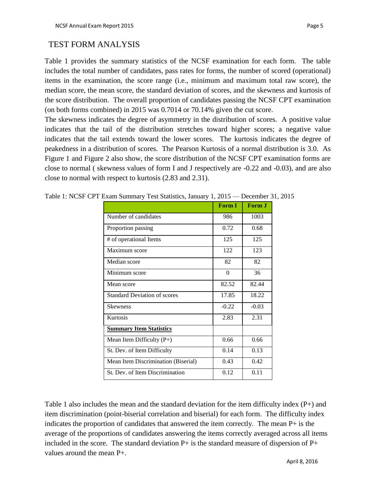#### TEST FORM ANALYSIS

Table 1 provides the summary statistics of the NCSF examination for each form. The table includes the total number of candidates, pass rates for forms, the number of scored (operational) items in the examination, the score range (i.e., minimum and maximum total raw score), the median score, the mean score, the standard deviation of scores, and the skewness and kurtosis of the score distribution. The overall proportion of candidates passing the NCSF CPT examination (on both forms combined) in 2015 was 0.7014 or 70.14% given the cut score.

The skewness indicates the degree of asymmetry in the distribution of scores. A positive value indicates that the tail of the distribution stretches toward higher scores; a negative value indicates that the tail extends toward the lower scores. The kurtosis indicates the degree of peakedness in a distribution of scores. The Pearson Kurtosis of a normal distribution is 3.0. As Figure 1 and Figure 2 also show, the score distribution of the NCSF CPT examination forms are close to normal ( skewness values of form I and J respectively are -0.22 and -0.03), and are also close to normal with respect to kurtosis (2.83 and 2.31).

|                                     | Form I   | Form J  |
|-------------------------------------|----------|---------|
| Number of candidates                | 986      | 1003    |
| Proportion passing                  | 0.72     | 0.68    |
| # of operational Items              | 125      | 125     |
| Maximum score                       | 122      | 123     |
| Median score                        | 82       | 82      |
| Minimum score                       | $\theta$ | 36      |
| Mean score                          | 82.52    | 82.44   |
| <b>Standard Deviation of scores</b> | 17.85    | 18.22   |
| <b>Skewness</b>                     | $-0.22$  | $-0.03$ |
| Kurtosis                            | 2.83     | 2.31    |
| <b>Summary Item Statistics</b>      |          |         |
| Mean Item Difficulty $(P+)$         | 0.66     | 0.66    |
| St. Dev. of Item Difficulty         | 0.14     | 0.13    |
| Mean Item Discrimination (Biserial) | 0.43     | 0.42    |
| St. Dev. of Item Discrimination     | 0.12     | 0.11    |

Table 1: NCSF CPT Exam Summary Test Statistics, January 1, 2015 — December 31, 2015

Table 1 also includes the mean and the standard deviation for the item difficulty index (P+) and item discrimination (point-biserial correlation and biserial) for each form. The difficulty index indicates the proportion of candidates that answered the item correctly. The mean P+ is the average of the proportions of candidates answering the items correctly averaged across all items included in the score. The standard deviation  $P+$  is the standard measure of dispersion of  $P+$ values around the mean P+.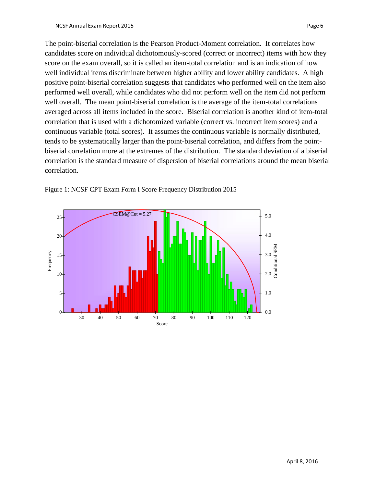The point-biserial correlation is the Pearson Product-Moment correlation. It correlates how candidates score on individual dichotomously-scored (correct or incorrect) items with how they score on the exam overall, so it is called an item-total correlation and is an indication of how well individual items discriminate between higher ability and lower ability candidates. A high positive point-biserial correlation suggests that candidates who performed well on the item also performed well overall, while candidates who did not perform well on the item did not perform well overall. The mean point-biserial correlation is the average of the item-total correlations averaged across all items included in the score. Biserial correlation is another kind of item-total correlation that is used with a dichotomized variable (correct vs. incorrect item scores) and a continuous variable (total scores). It assumes the continuous variable is normally distributed, tends to be systematically larger than the point-biserial correlation, and differs from the pointbiserial correlation more at the extremes of the distribution. The standard deviation of a biserial correlation is the standard measure of dispersion of biserial correlations around the mean biserial correlation.



Figure 1: NCSF CPT Exam Form I Score Frequency Distribution 2015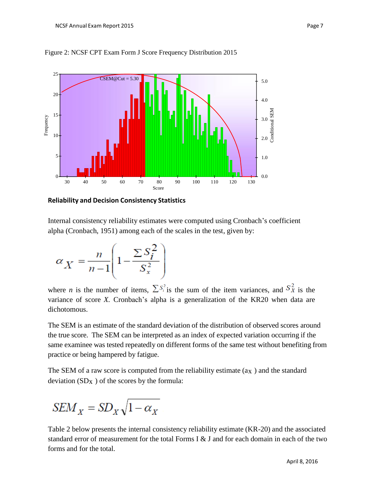

Figure 2: NCSF CPT Exam Form J Score Frequency Distribution 2015

**Reliability and Decision Consistency Statistics**

Internal consistency reliability estimates were computed using Cronbach's coefficient alpha (Cronbach, 1951) among each of the scales in the test, given by:

$$
\alpha_X = \frac{n}{n-1} \left( 1 - \frac{\sum S_i^2}{S_x^2} \right)
$$

where *n* is the number of items,  $\sum S_i^2$  is the sum of the item variances, and  $S_x^2$  is the variance of score *X.* Cronbach's alpha is a generalization of the KR20 when data are dichotomous.

The SEM is an estimate of the standard deviation of the distribution of observed scores around the true score. The SEM can be interpreted as an index of expected variation occurring if the same examinee was tested repeatedly on different forms of the same test without benefiting from practice or being hampered by fatigue.

The SEM of a raw score is computed from the reliability estimate  $(ax)$  and the standard deviation  $(SD_X)$  of the scores by the formula:

$$
SEM_X = SD_X \sqrt{1 - \alpha_X}
$$

Table 2 below presents the internal consistency reliability estimate (KR-20) and the associated standard error of measurement for the total Forms I & J and for each domain in each of the two forms and for the total.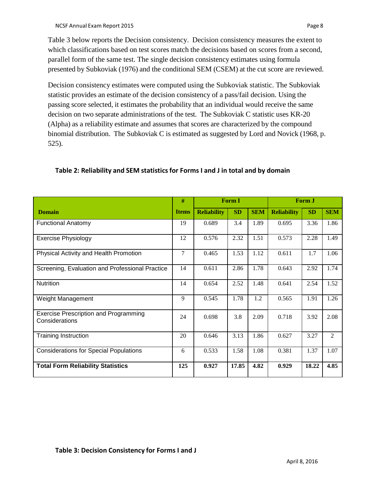Table 3 below reports the Decision consistency. Decision consistency measures the extent to which classifications based on test scores match the decisions based on scores from a second, parallel form of the same test. The single decision consistency estimates using formula presented by Subkoviak (1976) and the conditional SEM (CSEM) at the cut score are reviewed.

Decision consistency estimates were computed using the Subkoviak statistic. The Subkoviak statistic provides an estimate of the decision consistency of a pass/fail decision. Using the passing score selected, it estimates the probability that an individual would receive the same decision on two separate administrations of the test. The Subkoviak C statistic uses KR-20 (Alpha) as a reliability estimate and assumes that scores are characterized by the compound binomial distribution. The Subkoviak C is estimated as suggested by Lord and Novick (1968, p. 525).

|                                                                | #            | <b>Form I</b>      |           | Form J     |                    |           |            |
|----------------------------------------------------------------|--------------|--------------------|-----------|------------|--------------------|-----------|------------|
| <b>Domain</b>                                                  | <b>Items</b> | <b>Reliability</b> | <b>SD</b> | <b>SEM</b> | <b>Reliability</b> | <b>SD</b> | <b>SEM</b> |
| <b>Functional Anatomy</b>                                      | 19           | 0.689              | 3.4       | 1.89       | 0.695              | 3.36      | 1.86       |
| <b>Exercise Physiology</b>                                     |              | 0.576              | 2.32      | 1.51       | 0.573              | 2.28      | 1.49       |
| Physical Activity and Health Promotion                         | 7            | 0.465              | 1.53      | 1.12       | 0.611              | 1.7       | 1.06       |
| Screening, Evaluation and Professional Practice                | 14           | 0.611              | 2.86      | 1.78       | 0.643              | 2.92      | 1.74       |
| <b>Nutrition</b>                                               | 14           | 0.654              | 2.52      | 1.48       | 0.641              | 2.54      | 1.52       |
| Weight Management                                              | 9            | 0.545              | 1.78      | 1.2        | 0.565              | 1.91      | 1.26       |
| <b>Exercise Prescription and Programming</b><br>Considerations | 24           | 0.698              | 3.8       | 2.09       | 0.718              | 3.92      | 2.08       |
| <b>Training Instruction</b>                                    | 20           | 0.646              | 3.13      | 1.86       | 0.627              | 3.27      | 2          |
| <b>Considerations for Special Populations</b>                  | 6            | 0.533              | 1.58      | 1.08       | 0.381              | 1.37      | 1.07       |
| <b>Total Form Reliability Statistics</b>                       | 125          | 0.927              | 17.85     | 4.82       | 0.929              | 18.22     | 4.85       |

#### **Table 2: Reliability and SEM statisticsfor Forms I and J in total and by domain**